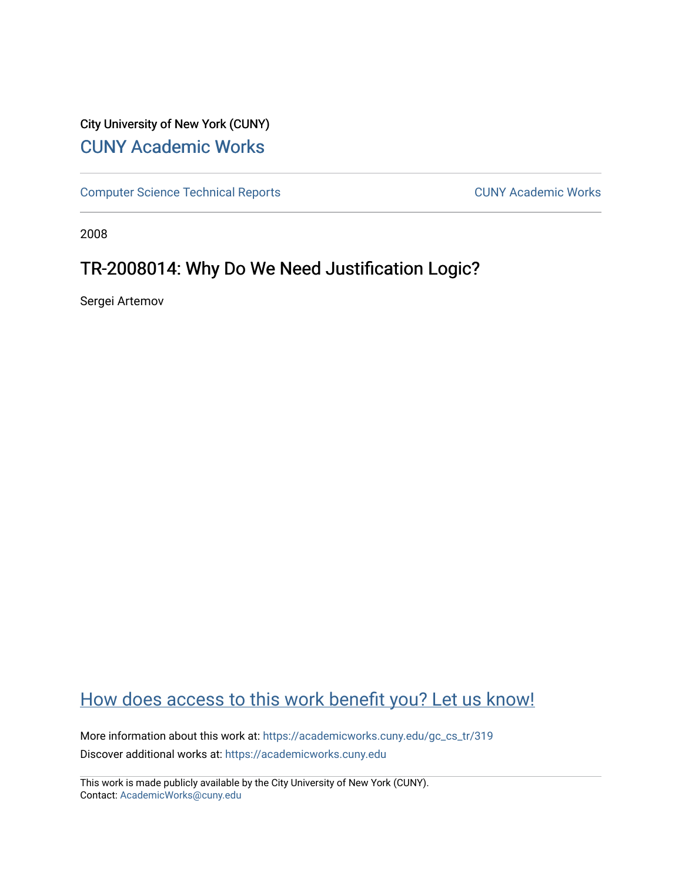## City University of New York (CUNY) [CUNY Academic Works](https://academicworks.cuny.edu/)

[Computer Science Technical Reports](https://academicworks.cuny.edu/gc_cs_tr) **CUNY Academic Works** CUNY Academic Works

2008

## TR-2008014: Why Do We Need Justification Logic?

Sergei Artemov

# [How does access to this work benefit you? Let us know!](http://ols.cuny.edu/academicworks/?ref=https://academicworks.cuny.edu/gc_cs_tr/319)

More information about this work at: [https://academicworks.cuny.edu/gc\\_cs\\_tr/319](https://academicworks.cuny.edu/gc_cs_tr/319)  Discover additional works at: [https://academicworks.cuny.edu](https://academicworks.cuny.edu/?)

This work is made publicly available by the City University of New York (CUNY). Contact: [AcademicWorks@cuny.edu](mailto:AcademicWorks@cuny.edu)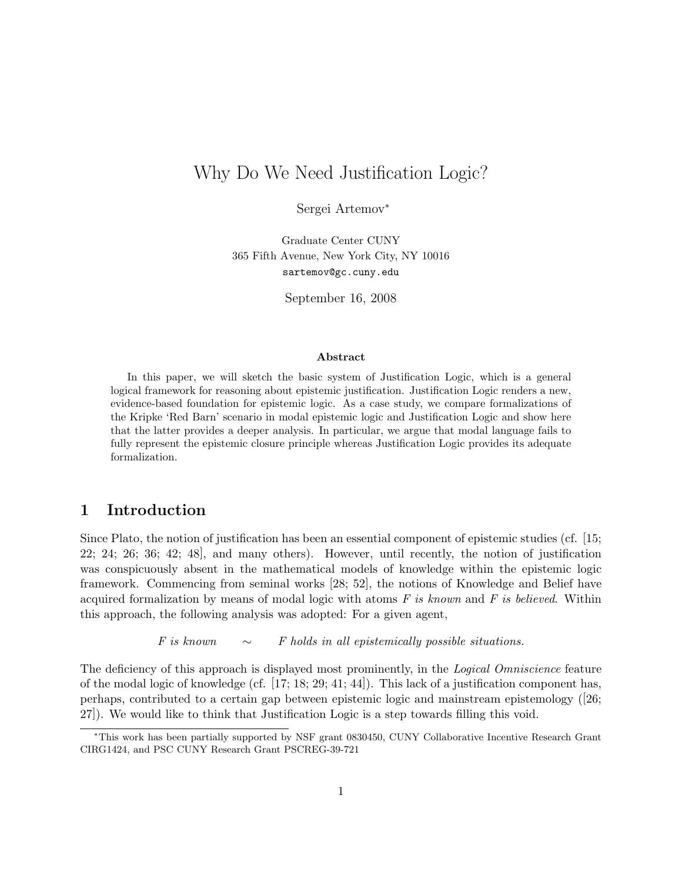## Why Do We Need Justification Logic?

Sergei Artemov<sup>∗</sup>

Graduate Center CUNY 365 Fifth Avenue, New York City, NY 10016 sartemov@gc.cuny.edu

September 16, 2008

#### Abstract

In this paper, we will sketch the basic system of Justification Logic, which is a general logical framework for reasoning about epistemic justification. Justification Logic renders a new, evidence-based foundation for epistemic logic. As a case study, we compare formalizations of the Kripke 'Red Barn' scenario in modal epistemic logic and Justification Logic and show here that the latter provides a deeper analysis. In particular, we argue that modal language fails to fully represent the epistemic closure principle whereas Justification Logic provides its adequate formalization.

### 1 Introduction

Since Plato, the notion of justification has been an essential component of epistemic studies (cf. [15; 22; 24; 26; 36; 42; 48], and many others). However, until recently, the notion of justification was conspicuously absent in the mathematical models of knowledge within the epistemic logic framework. Commencing from seminal works [28; 52], the notions of Knowledge and Belief have acquired formalization by means of modal logic with atoms *F is known* and *F is believed*. Within this approach, the following analysis was adopted: For a given agent,

*F is known* ∼ *F holds in all epistemically possible situations.*

The deficiency of this approach is displayed most prominently, in the *Logical Omniscience* feature of the modal logic of knowledge (cf. [17; 18; 29; 41; 44]). This lack of a justification component has, perhaps, contributed to a certain gap between epistemic logic and mainstream epistemology ([26; 27]). We would like to think that Justification Logic is a step towards filling this void.

<sup>∗</sup>This work has been partially supported by NSF grant 0830450, CUNY Collaborative Incentive Research Grant CIRG1424, and PSC CUNY Research Grant PSCREG-39-721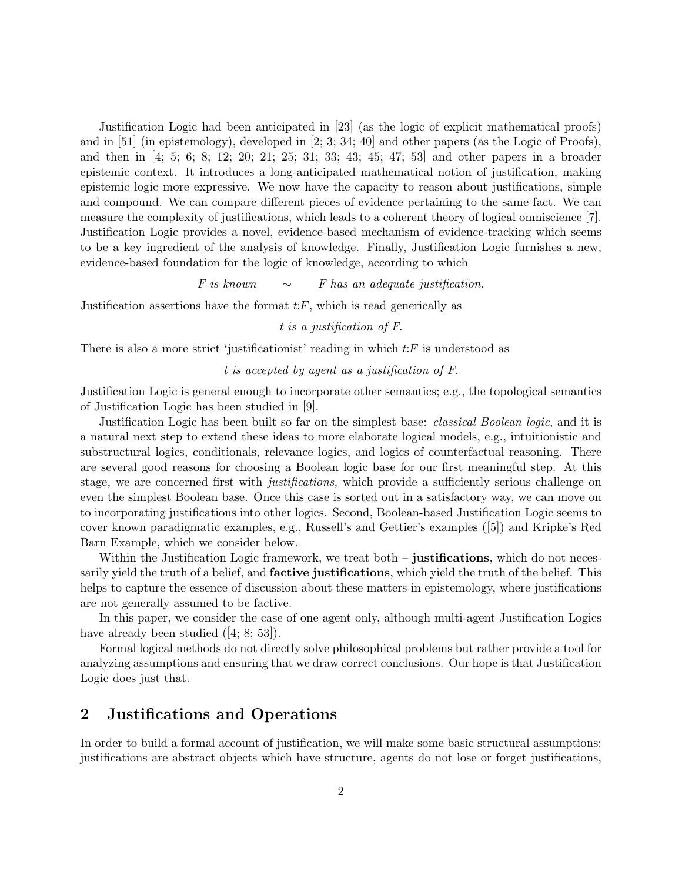Justification Logic had been anticipated in [23] (as the logic of explicit mathematical proofs) and in  $[51]$  (in epistemology), developed in  $[2; 3; 34; 40]$  and other papers (as the Logic of Proofs), and then in [4; 5; 6; 8; 12; 20; 21; 25; 31; 33; 43; 45; 47; 53] and other papers in a broader epistemic context. It introduces a long-anticipated mathematical notion of justification, making epistemic logic more expressive. We now have the capacity to reason about justifications, simple and compound. We can compare different pieces of evidence pertaining to the same fact. We can measure the complexity of justifications, which leads to a coherent theory of logical omniscience [7]. Justification Logic provides a novel, evidence-based mechanism of evidence-tracking which seems to be a key ingredient of the analysis of knowledge. Finally, Justification Logic furnishes a new, evidence-based foundation for the logic of knowledge, according to which

*F is known* ∼ *F has an adequate justification.*

Justification assertions have the format  $t$ : $F$ , which is read generically as

#### *t is a justification of F*.

There is also a more strict 'justificationist' reading in which  $t$ : F is understood as

#### *t is accepted by agent as a justification of F*.

Justification Logic is general enough to incorporate other semantics; e.g., the topological semantics of Justification Logic has been studied in [9].

Justification Logic has been built so far on the simplest base: *classical Boolean logic*, and it is a natural next step to extend these ideas to more elaborate logical models, e.g., intuitionistic and substructural logics, conditionals, relevance logics, and logics of counterfactual reasoning. There are several good reasons for choosing a Boolean logic base for our first meaningful step. At this stage, we are concerned first with *justifications*, which provide a sufficiently serious challenge on even the simplest Boolean base. Once this case is sorted out in a satisfactory way, we can move on to incorporating justifications into other logics. Second, Boolean-based Justification Logic seems to cover known paradigmatic examples, e.g., Russell's and Gettier's examples ([5]) and Kripke's Red Barn Example, which we consider below.

Within the Justification Logic framework, we treat both – justifications, which do not necessarily yield the truth of a belief, and **factive justifications**, which yield the truth of the belief. This helps to capture the essence of discussion about these matters in epistemology, where justifications are not generally assumed to be factive.

In this paper, we consider the case of one agent only, although multi-agent Justification Logics have already been studied  $([4; 8; 53])$ .

Formal logical methods do not directly solve philosophical problems but rather provide a tool for analyzing assumptions and ensuring that we draw correct conclusions. Our hope is that Justification Logic does just that.

### 2 Justifications and Operations

In order to build a formal account of justification, we will make some basic structural assumptions: justifications are abstract objects which have structure, agents do not lose or forget justifications,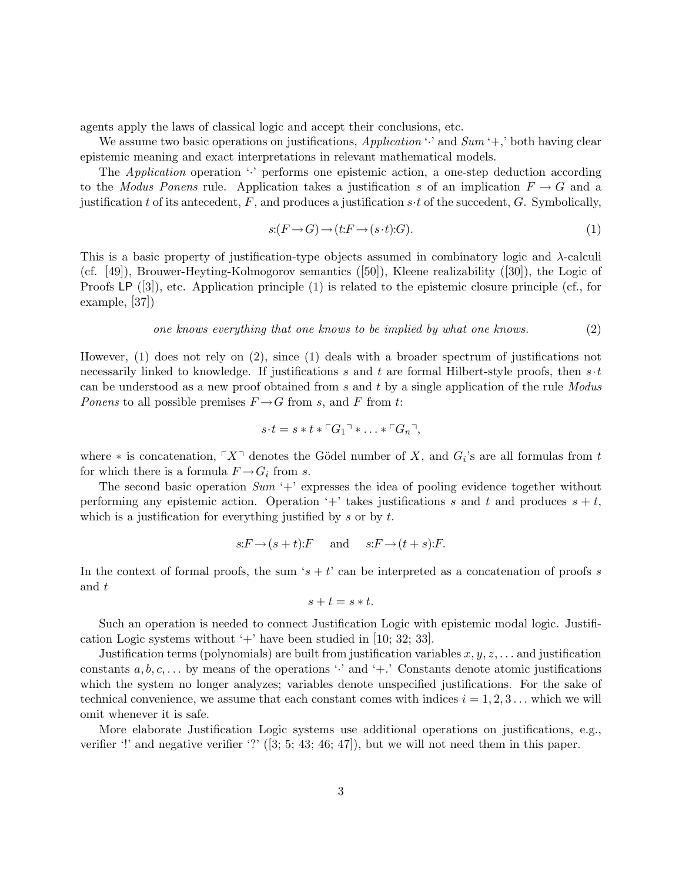agents apply the laws of classical logic and accept their conclusions, etc.

We assume two basic operations on justifications, *Application* '·' and *Sum* '+,' both having clear epistemic meaning and exact interpretations in relevant mathematical models.

The *Application* operation '<sup>:</sup> performs one epistemic action, a one-step deduction according to the *Modus Ponens* rule. Application takes a justification s of an implication  $F \to G$  and a justification t of its antecedent, F, and produces a justification  $s \cdot t$  of the succedent, G. Symbolically,

$$
s: (F \to G) \to (t: F \to (s \cdot t): G). \tag{1}
$$

This is a basic property of justification-type objects assumed in combinatory logic and  $\lambda$ -calculi (cf. [49]), Brouwer-Heyting-Kolmogorov semantics ([50]), Kleene realizability ([30]), the Logic of Proofs LP ([3]), etc. Application principle (1) is related to the epistemic closure principle (cf., for example, [37])

#### *one knows everything that one knows to be implied by what one knows.* (2)

However, (1) does not rely on (2), since (1) deals with a broader spectrum of justifications not necessarily linked to knowledge. If justifications s and t are formal Hilbert-style proofs, then  $s \cdot t$ can be understood as a new proof obtained from s and t by a single application of the rule *Modus Ponens* to all possible premises  $F \rightarrow G$  from s, and F from t:

$$
s \cdot t = s * t * \ulcorner G_1 \urcorner * \ldots * \ulcorner G_n \urcorner,
$$

where  $*$  is concatenation,  $\ulcorner X \urcorner$  denotes the Gödel number of X, and  $G_i$ 's are all formulas from t for which there is a formula  $F \rightarrow G_i$  from s.

The second basic operation *Sum* '+' expresses the idea of pooling evidence together without performing any epistemic action. Operation '+' takes justifications s and t and produces  $s + t$ , which is a justification for everything justified by  $s$  or by  $t$ .

$$
s: F \to (s+t): F
$$
 and  $s: F \to (t+s): F$ .

In the context of formal proofs, the sum 's + t' can be interpreted as a concatenation of proofs s and t

$$
s+t=s*t.
$$

Such an operation is needed to connect Justification Logic with epistemic modal logic. Justification Logic systems without  $+$  have been studied in [10; 32; 33].

Justification terms (polynomials) are built from justification variables  $x, y, z, \ldots$  and justification constants  $a, b, c, \ldots$  by means of the operations ' $\cdot$ ' and '+.' Constants denote atomic justifications which the system no longer analyzes; variables denote unspecified justifications. For the sake of technical convenience, we assume that each constant comes with indices  $i = 1, 2, 3...$  which we will omit whenever it is safe.

More elaborate Justification Logic systems use additional operations on justifications, e.g., verifier '!' and negative verifier '?'  $(3; 5; 43; 46; 47]$ , but we will not need them in this paper.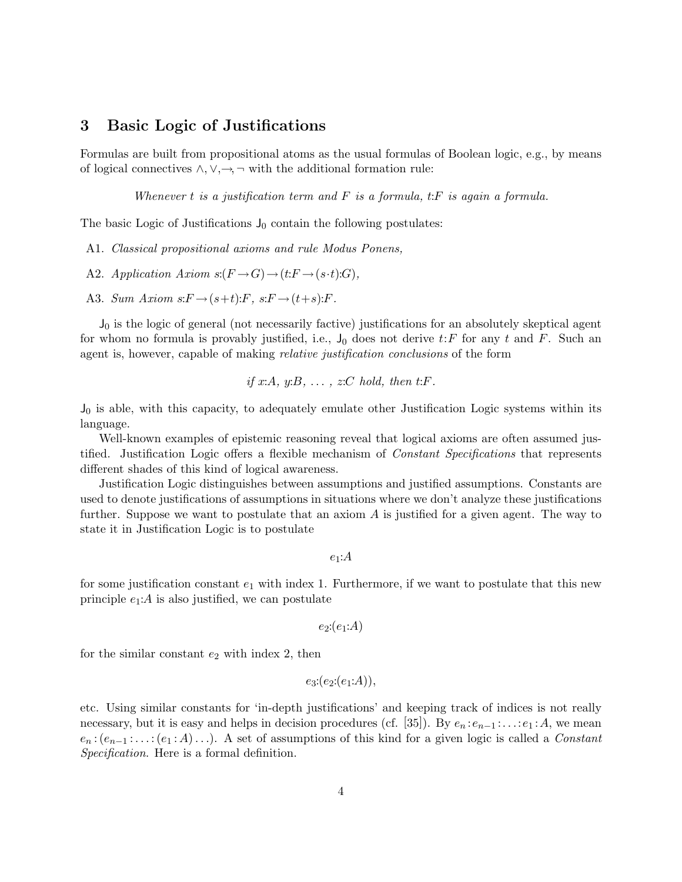### 3 Basic Logic of Justifications

Formulas are built from propositional atoms as the usual formulas of Boolean logic, e.g., by means of logical connectives  $\land, \lor, \rightarrow, \neg$  with the additional formation rule:

*Whenever* t *is a justification term and* F *is a formula,* t:F *is again a formula.*

The basic Logic of Justifications  $J_0$  contain the following postulates:

- A1. *Classical propositional axioms and rule Modus Ponens,*
- A2. *Application Axiom*  $s:(F \to G) \to (t:F \to (s \cdot t):G)$ *,*
- A3. *Sum Axiom*  $s: F \rightarrow (s+t): F$ ,  $s: F \rightarrow (t+s): F$ .

 $J_0$  is the logic of general (not necessarily factive) justifications for an absolutely skeptical agent for whom no formula is provably justified, i.e.,  $J_0$  does not derive t: F for any t and F. Such an agent is, however, capable of making *relative justification conclusions* of the form

if 
$$
x:A
$$
,  $y:B$ , ...,  $z:C$  hold, then  $t:F$ .

 $J_0$  is able, with this capacity, to adequately emulate other Justification Logic systems within its language.

Well-known examples of epistemic reasoning reveal that logical axioms are often assumed justified. Justification Logic offers a flexible mechanism of *Constant Specifications* that represents different shades of this kind of logical awareness.

Justification Logic distinguishes between assumptions and justified assumptions. Constants are used to denote justifications of assumptions in situations where we don't analyze these justifications further. Suppose we want to postulate that an axiom  $A$  is justified for a given agent. The way to state it in Justification Logic is to postulate

 $e_1$ : $A$ 

for some justification constant  $e_1$  with index 1. Furthermore, if we want to postulate that this new principle  $e_1$ : A is also justified, we can postulate

 $e_2$ : $(e_1:A)$ 

for the similar constant  $e_2$  with index 2, then

$$
e_3:(e_2:(e_1:A)),
$$

etc. Using similar constants for 'in-depth justifications' and keeping track of indices is not really necessary, but it is easy and helps in decision procedures (cf. [35]). By  $e_n : e_{n-1} : \ldots : e_1 : A$ , we mean e*<sup>n</sup>* :(e*n*−<sup>1</sup> : . . . :(e<sup>1</sup> : A). . .). A set of assumptions of this kind for a given logic is called a *Constant Specification*. Here is a formal definition.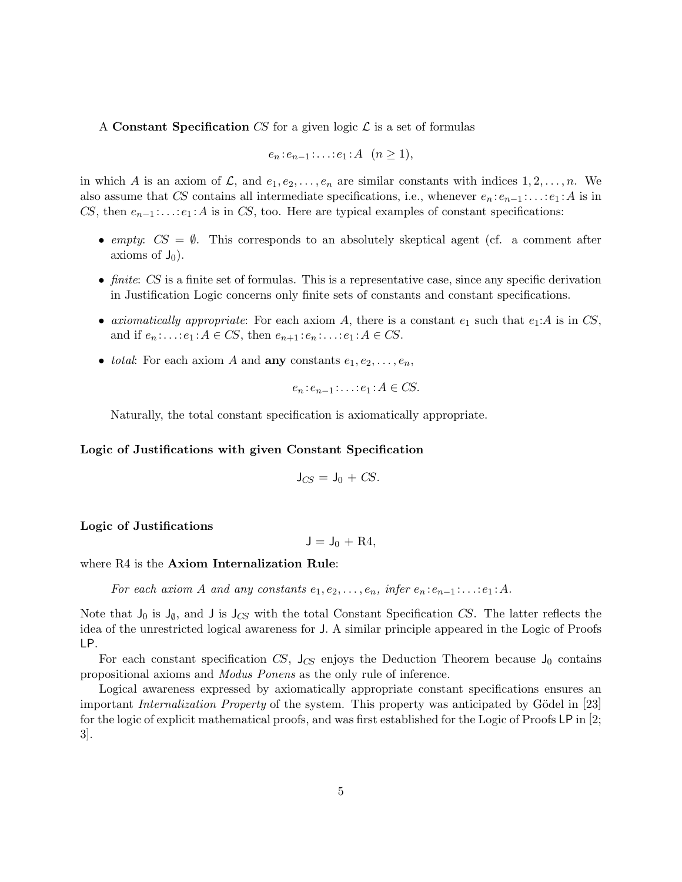#### A Constant Specification CS for a given logic  $\mathcal L$  is a set of formulas

$$
e_n : e_{n-1} : \ldots : e_1 : A \quad (n \geq 1),
$$

in which A is an axiom of  $\mathcal{L}$ , and  $e_1, e_2, \ldots, e_n$  are similar constants with indices  $1, 2, \ldots, n$ . We also assume that CS contains all intermediate specifications, i.e., whenever  $e_n : e_{n-1} : \ldots : e_1 : A$  is in CS, then  $e_{n-1}$ :...: $e_1$ :A is in CS, too. Here are typical examples of constant specifications:

- *empty:*  $CS = \emptyset$ . This corresponds to an absolutely skeptical agent (cf. a comment after axioms of  $J_0$ ).
- *finite:* CS is a finite set of formulas. This is a representative case, since any specific derivation in Justification Logic concerns only finite sets of constants and constant specifications.
- *axiomatically appropriate:* For each axiom A, there is a constant  $e_1$  such that  $e_1:A$  is in CS, and if  $e_n$ :...: $e_1$ : $A \in CS$ , then  $e_{n+1}$ : $e_n$ :...: $e_1$ : $A \in CS$ .
- *total*: For each axiom A and **any** constants  $e_1, e_2, \ldots, e_n$ ,

$$
e_n : e_{n-1} : \ldots : e_1 : A \in CS.
$$

Naturally, the total constant specification is axiomatically appropriate.

#### Logic of Justifications with given Constant Specification

$$
\mathsf{J}_{CS}=\mathsf{J}_0+\mathit{CS}.
$$

#### Logic of Justifications

 $J = J_0 + R4$ .

#### where R4 is the **Axiom Internalization Rule**:

*For* each axiom A and any constants  $e_1, e_2, \ldots, e_n$ , infer  $e_n : e_{n-1} : \ldots : e_1 : A$ .

Note that  $J_0$  is  $J_{\emptyset}$ , and J is  $J_{CS}$  with the total Constant Specification CS. The latter reflects the idea of the unrestricted logical awareness for J. A similar principle appeared in the Logic of Proofs LP.

For each constant specification  $CS$ ,  $J_{CS}$  enjoys the Deduction Theorem because  $J_0$  contains propositional axioms and *Modus Ponens* as the only rule of inference.

Logical awareness expressed by axiomatically appropriate constant specifications ensures an important *Internalization Property* of the system. This property was anticipated by Gödel in [23] for the logic of explicit mathematical proofs, and was first established for the Logic of Proofs LP in [2; 3].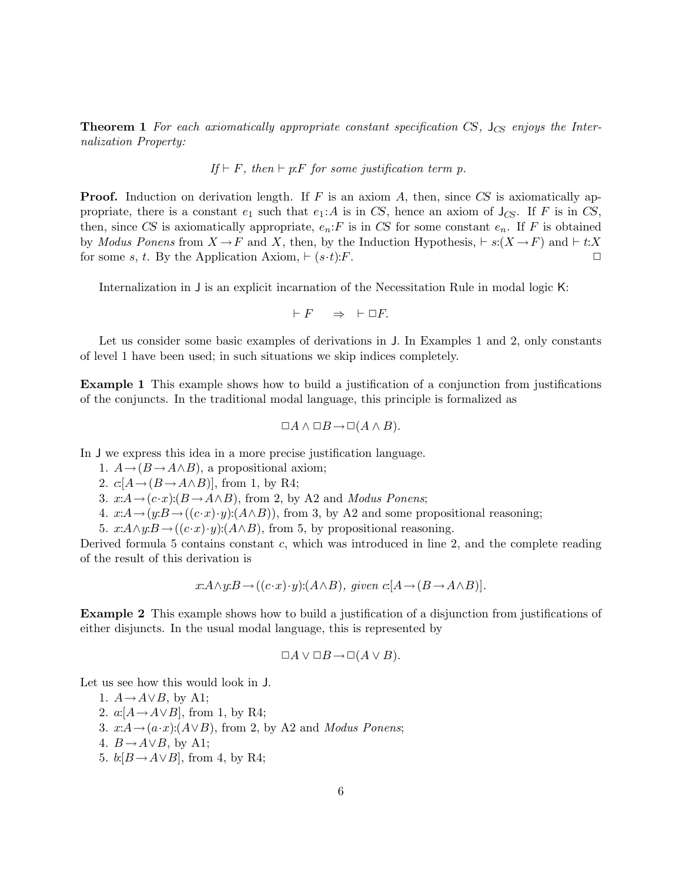Theorem 1 *For each axiomatically appropriate constant specification* CS*,* J*CS enjoys the Internalization Property:*

If 
$$
\vdash F
$$
, then  $\vdash p \mathpunct{:} F$  for some justification term p.

**Proof.** Induction on derivation length. If F is an axiom A, then, since  $CS$  is axiomatically appropriate, there is a constant  $e_1$  such that  $e_1:A$  is in CS, hence an axiom of  $J_{CS}$ . If F is in CS, then, since CS is axiomatically appropriate,  $e_n$ : F is in CS for some constant  $e_n$ . If F is obtained by *Modus Ponens* from  $X \to F$  and X, then, by the Induction Hypothesis,  $\vdash s:(X \to F)$  and  $\vdash t:X$ <br>for some  $s \neq s$  By the Application Axiom  $\vdash (s,t) \cdot F$ for some s, t. By the Application Axiom,  $\vdash (s \cdot t):F$ .

Internalization in J is an explicit incarnation of the Necessitation Rule in modal logic K:

$$
\vdash F \quad \Rightarrow \quad \vdash \Box F.
$$

Let us consider some basic examples of derivations in J. In Examples 1 and 2, only constants of level 1 have been used; in such situations we skip indices completely.

Example 1 This example shows how to build a justification of a conjunction from justifications of the conjuncts. In the traditional modal language, this principle is formalized as

$$
\Box A \land \Box B \to \Box (A \land B).
$$

In J we express this idea in a more precise justification language.

- 1.  $A \rightarrow (B \rightarrow A \wedge B)$ , a propositional axiom;
- 2.  $c:A \rightarrow (B \rightarrow A \land B)$ , from 1, by R4;
- 3.  $x:A \rightarrow (c \cdot x):(B \rightarrow A \land B)$ , from 2, by A2 and *Modus Ponens*;
- 4.  $x:A \rightarrow (y:B \rightarrow ((c \cdot x) \cdot y):(A \wedge B))$ , from 3, by A2 and some propositional reasoning;
- 5.  $x:A\wedge y:B\rightarrow ((c\cdot x)\cdot y):(A\wedge B)$ , from 5, by propositional reasoning.

Derived formula 5 contains constant  $c$ , which was introduced in line 2, and the complete reading of the result of this derivation is

$$
x:A \wedge y:B \rightarrow ((c \cdot x) \cdot y):(A \wedge B), \text{ given } c:[A \rightarrow (B \rightarrow A \wedge B)].
$$

Example 2 This example shows how to build a justification of a disjunction from justifications of either disjuncts. In the usual modal language, this is represented by

$$
\Box A \vee \Box B \rightarrow \Box (A \vee B).
$$

Let us see how this would look in J.

1.  $A \rightarrow A \lor B$ , by A1; 2.  $a: [A \rightarrow A \lor B]$ , from 1, by R4; 3.  $x:A\rightarrow(a\cdot x):(A\vee B)$ , from 2, by A2 and *Modus Ponens*; 4.  $B \rightarrow A \vee B$ , by A1; 5.  $b: [B \rightarrow A \vee B]$ , from 4, by R4;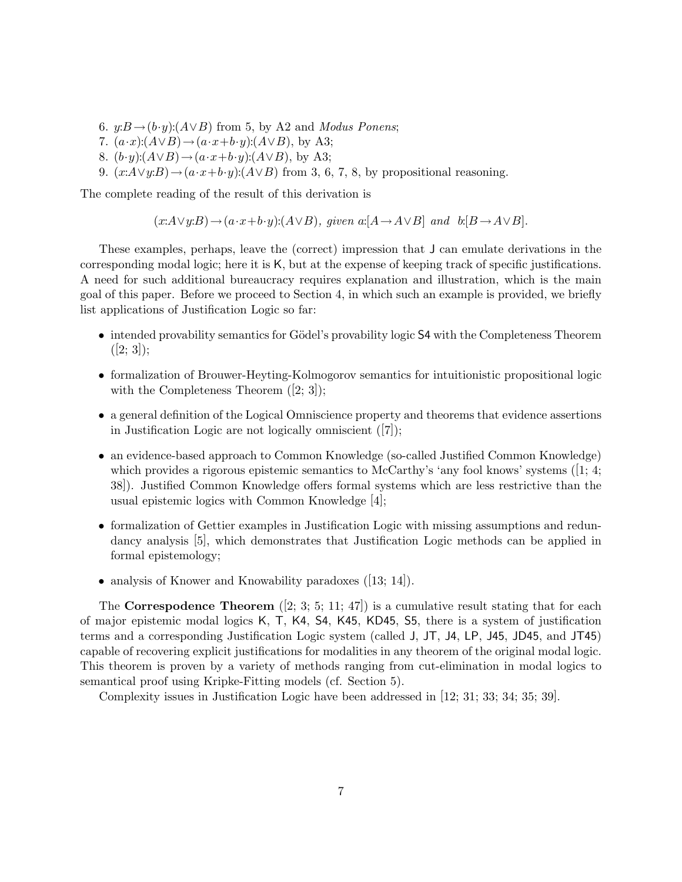- 6.  $y: B \rightarrow (b \cdot y): (A \lor B)$  from 5, by A2 and *Modus Ponens*;
- 7.  $(a \cdot x):(A \vee B) \rightarrow (a \cdot x+b \cdot y):(A \vee B)$ , by A3;
- 8.  $(b \cdot y):(A \vee B) \rightarrow (a \cdot x + b \cdot y):(A \vee B)$ , by A3;
- 9.  $(x:A\vee y:B)\rightarrow (a\cdot x+b\cdot y):(A\vee B)$  from 3, 6, 7, 8, by propositional reasoning.

The complete reading of the result of this derivation is

$$
(x:A\vee y:B)\rightarrow (a\cdot x+b\cdot y):(A\vee B), \text{ given } a:[A\rightarrow A\vee B] \text{ and } b:[B\rightarrow A\vee B].
$$

These examples, perhaps, leave the (correct) impression that J can emulate derivations in the corresponding modal logic; here it is K, but at the expense of keeping track of specific justifications. A need for such additional bureaucracy requires explanation and illustration, which is the main goal of this paper. Before we proceed to Section 4, in which such an example is provided, we briefly list applications of Justification Logic so far:

- intended provability semantics for Gödel's provability logic S4 with the Completeness Theorem  $([2; 3])$ ;
- formalization of Brouwer-Heyting-Kolmogorov semantics for intuitionistic propositional logic with the Completeness Theorem  $([2; 3])$ ;
- a general definition of the Logical Omniscience property and theorems that evidence assertions in Justification Logic are not logically omniscient  $([7])$ ;
- an evidence-based approach to Common Knowledge (so-called Justified Common Knowledge) which provides a rigorous epistemic semantics to McCarthy's 'any fool knows' systems ( $[1; 4;$ ) 38]). Justified Common Knowledge offers formal systems which are less restrictive than the usual epistemic logics with Common Knowledge [4];
- formalization of Gettier examples in Justification Logic with missing assumptions and redundancy analysis [5], which demonstrates that Justification Logic methods can be applied in formal epistemology;
- analysis of Knower and Knowability paradoxes ([13; 14]).

The Correspodence Theorem  $(2; 3; 5; 11; 47)$  is a cumulative result stating that for each of major epistemic modal logics K, T, K4, S4, K45, KD45, S5, there is a system of justification terms and a corresponding Justification Logic system (called J, JT, J4, LP, J45, JD45, and JT45) capable of recovering explicit justifications for modalities in any theorem of the original modal logic. This theorem is proven by a variety of methods ranging from cut-elimination in modal logics to semantical proof using Kripke-Fitting models (cf. Section 5).

Complexity issues in Justification Logic have been addressed in [12; 31; 33; 34; 35; 39].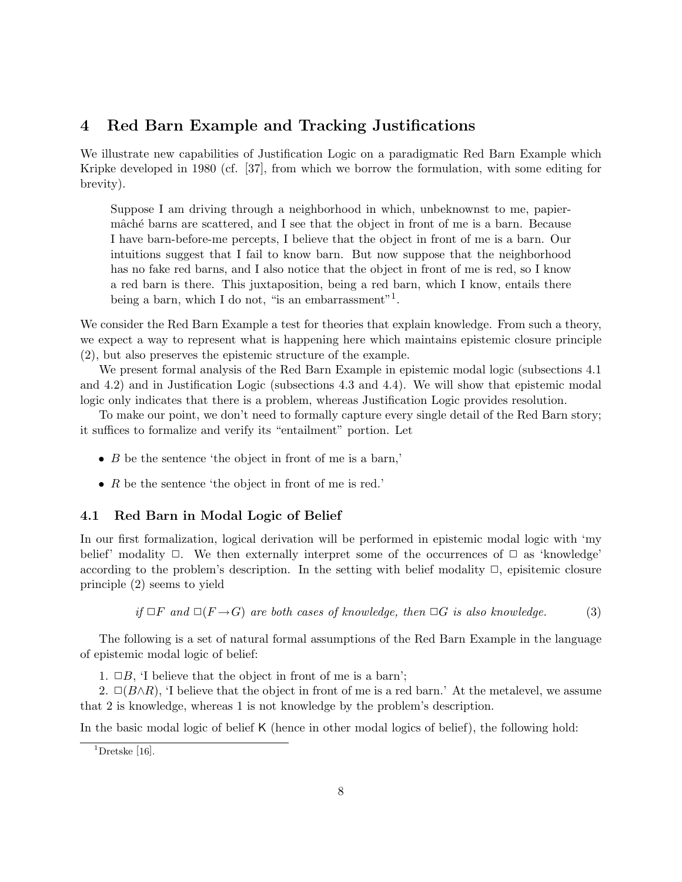### 4 Red Barn Example and Tracking Justifications

We illustrate new capabilities of Justification Logic on a paradigmatic Red Barn Example which Kripke developed in 1980 (cf. [37], from which we borrow the formulation, with some editing for brevity).

Suppose I am driving through a neighborhood in which, unbeknownst to me, papiermâché barns are scattered, and I see that the object in front of me is a barn. Because I have barn-before-me percepts, I believe that the object in front of me is a barn. Our intuitions suggest that I fail to know barn. But now suppose that the neighborhood has no fake red barns, and I also notice that the object in front of me is red, so I know a red barn is there. This juxtaposition, being a red barn, which I know, entails there being a barn, which I do not, "is an embarrassment"<sup>1</sup>.

We consider the Red Barn Example a test for theories that explain knowledge. From such a theory, we expect a way to represent what is happening here which maintains epistemic closure principle (2), but also preserves the epistemic structure of the example.

We present formal analysis of the Red Barn Example in epistemic modal logic (subsections 4.1 and 4.2) and in Justification Logic (subsections 4.3 and 4.4). We will show that epistemic modal logic only indicates that there is a problem, whereas Justification Logic provides resolution.

To make our point, we don't need to formally capture every single detail of the Red Barn story; it suffices to formalize and verify its "entailment" portion. Let

- $\bullet$  B be the sentence 'the object in front of me is a barn,'
- R be the sentence 'the object in front of me is red.'

#### 4.1 Red Barn in Modal Logic of Belief

In our first formalization, logical derivation will be performed in epistemic modal logic with 'my belief' modality  $\Box$ . We then externally interpret some of the occurrences of  $\Box$  as 'knowledge' according to the problem's description. In the setting with belief modality  $\Box$ , episitemic closure principle (2) seems to yield

if 
$$
\Box F
$$
 and  $\Box (F \rightarrow G)$  are both cases of knowledge, then  $\Box G$  is also knowledge. (3)

The following is a set of natural formal assumptions of the Red Barn Example in the language of epistemic modal logic of belief:

1.  $\Box B$ , 'I believe that the object in front of me is a barn';

2.  $\Box(B\land R)$ , 'I believe that the object in front of me is a red barn.' At the metalevel, we assume that 2 is knowledge, whereas 1 is not knowledge by the problem's description.

In the basic modal logic of belief K (hence in other modal logics of belief), the following hold:

 $1$ Dretske [16].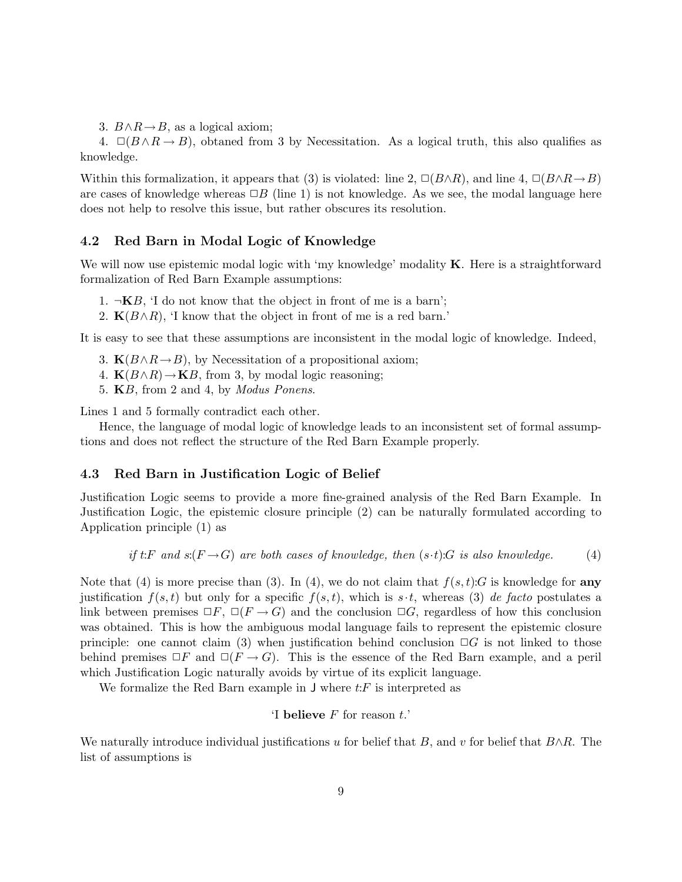3.  $B \land R \rightarrow B$ , as a logical axiom;

4.  $\Box(B \land R \rightarrow B)$ , obtaned from 3 by Necessitation. As a logical truth, this also qualifies as knowledge.

Within this formalization, it appears that (3) is violated: line 2,  $\Box(B\land R)$ , and line 4,  $\Box(B\land R\rightarrow B)$ are cases of knowledge whereas  $\Box B$  (line 1) is not knowledge. As we see, the modal language here does not help to resolve this issue, but rather obscures its resolution.

#### 4.2 Red Barn in Modal Logic of Knowledge

We will now use epistemic modal logic with 'my knowledge' modality  $\bf{K}$ . Here is a straightforward formalization of Red Barn Example assumptions:

- 1.  $\neg$ **K***B*, 'I do not know that the object in front of me is a barn';
- 2.  $K(B \wedge R)$ , 'I know that the object in front of me is a red barn.'

It is easy to see that these assumptions are inconsistent in the modal logic of knowledge. Indeed,

- 3.  $K(B \wedge R \rightarrow B)$ , by Necessitation of a propositional axiom;
- 4.  $\mathbf{K}(B \wedge R) \rightarrow \mathbf{K}B$ , from 3, by modal logic reasoning;
- 5. KB, from 2 and 4, by *Modus Ponens*.

Lines 1 and 5 formally contradict each other.

Hence, the language of modal logic of knowledge leads to an inconsistent set of formal assumptions and does not reflect the structure of the Red Barn Example properly.

#### 4.3 Red Barn in Justification Logic of Belief

Justification Logic seems to provide a more fine-grained analysis of the Red Barn Example. In Justification Logic, the epistemic closure principle (2) can be naturally formulated according to Application principle (1) as

if t:F and s:(
$$
F \to G
$$
) are both cases of knowledge, then (s-t):G is also knowledge. (4)

Note that (4) is more precise than (3). In (4), we do not claim that  $f(s,t):G$  is knowledge for any justification  $f(s,t)$  but only for a specific  $f(s,t)$ , which is  $s \cdot t$ , whereas (3) *de facto* postulates a link between premises  $\Box F$ ,  $\Box (F \rightarrow G)$  and the conclusion  $\Box G$ , regardless of how this conclusion was obtained. This is how the ambiguous modal language fails to represent the epistemic closure principle: one cannot claim (3) when justification behind conclusion  $\Box G$  is not linked to those behind premises  $\Box F$  and  $\Box (F \rightarrow G)$ . This is the essence of the Red Barn example, and a peril which Justification Logic naturally avoids by virtue of its explicit language.

We formalize the Red Barn example in  $J$  where  $t$ : F is interpreted as

<sup>'I</sup> **believe** 
$$
F
$$
 for reason  $t$ .

We naturally introduce individual justifications u for belief that B, and v for belief that  $B \wedge R$ . The list of assumptions is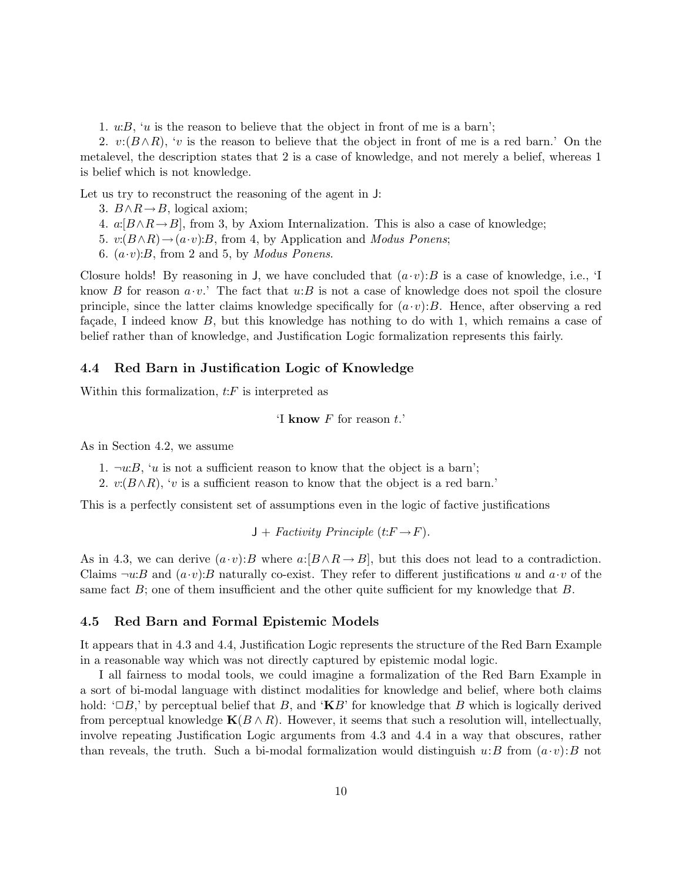1.  $u:B$ , 'u is the reason to believe that the object in front of me is a barn';

2.  $v:(B\wedge R), 'v$  is the reason to believe that the object in front of me is a red barn.' On the metalevel, the description states that 2 is a case of knowledge, and not merely a belief, whereas 1 is belief which is not knowledge.

Let us try to reconstruct the reasoning of the agent in J:

3.  $B \land R \rightarrow B$ , logical axiom;

- 4.  $a: [B \wedge R \rightarrow B]$ , from 3, by Axiom Internalization. This is also a case of knowledge;
- 5. v:(B∧R)→(a·v):B, from 4, by Application and *Modus Ponens*;
- 6.  $(a \cdot v)$ :*B*, from 2 and 5, by *Modus Ponens*.

Closure holds! By reasoning in J, we have concluded that  $(a \cdot v)$ : B is a case of knowledge, i.e., 'I know B for reason  $a \cdot v$ . The fact that  $u:B$  is not a case of knowledge does not spoil the closure principle, since the latter claims knowledge specifically for  $(a \cdot v)$ : B. Hence, after observing a red façade, I indeed know  $B$ , but this knowledge has nothing to do with 1, which remains a case of belief rather than of knowledge, and Justification Logic formalization represents this fairly.

#### 4.4 Red Barn in Justification Logic of Knowledge

Within this formalization,  $t$ : $F$  is interpreted as

```
'I know F for reason t.
```
As in Section 4.2, we assume

1.  $\neg w:B$ , 'u is not a sufficient reason to know that the object is a barn';

2.  $v(B \wedge R)$ , 'v is a sufficient reason to know that the object is a red barn.'

This is a perfectly consistent set of assumptions even in the logic of factive justifications

 $J + Factivity Principle (t: F \rightarrow F).$ 

As in 4.3, we can derive  $(a \cdot v):B$  where  $a:[B \wedge R \rightarrow B]$ , but this does not lead to a contradiction. Claims  $\neg u:B$  and  $(a \cdot v):B$  naturally co-exist. They refer to different justifications u and  $a \cdot v$  of the same fact  $B$ ; one of them insufficient and the other quite sufficient for my knowledge that  $B$ .

#### 4.5 Red Barn and Formal Epistemic Models

It appears that in 4.3 and 4.4, Justification Logic represents the structure of the Red Barn Example in a reasonable way which was not directly captured by epistemic modal logic.

I all fairness to modal tools, we could imagine a formalization of the Red Barn Example in a sort of bi-modal language with distinct modalities for knowledge and belief, where both claims hold: ' $\Box B$ ,' by perceptual belief that B, and ' $\mathbf{K}B$ ' for knowledge that B which is logically derived from perceptual knowledge  $K(B \wedge R)$ . However, it seems that such a resolution will, intellectually, involve repeating Justification Logic arguments from 4.3 and 4.4 in a way that obscures, rather than reveals, the truth. Such a bi-modal formalization would distinguish  $u:B$  from  $(a\cdot v):B$  not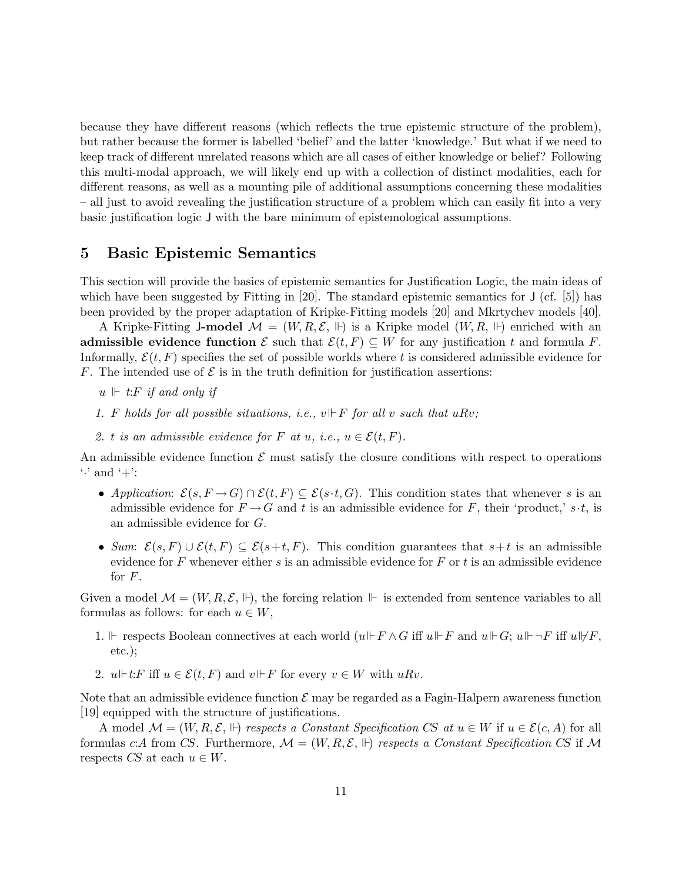because they have different reasons (which reflects the true epistemic structure of the problem), but rather because the former is labelled 'belief' and the latter 'knowledge.' But what if we need to keep track of different unrelated reasons which are all cases of either knowledge or belief? Following this multi-modal approach, we will likely end up with a collection of distinct modalities, each for different reasons, as well as a mounting pile of additional assumptions concerning these modalities – all just to avoid revealing the justification structure of a problem which can easily fit into a very basic justification logic J with the bare minimum of epistemological assumptions.

### 5 Basic Epistemic Semantics

This section will provide the basics of epistemic semantics for Justification Logic, the main ideas of which have been suggested by Fitting in [20]. The standard epistemic semantics for  $J$  (cf. [5]) has been provided by the proper adaptation of Kripke-Fitting models [20] and Mkrtychev models [40].

A Kripke-Fitting J-model  $\mathcal{M} = (W, R, \mathcal{E}, \Vdash)$  is a Kripke model  $(W, R, \Vdash)$  enriched with an admissible evidence function  $\mathcal E$  such that  $\mathcal E(t, F) \subseteq W$  for any justification t and formula F. Informally,  $\mathcal{E}(t, F)$  specifies the set of possible worlds where t is considered admissible evidence for F. The intended use of  $\mathcal E$  is in the truth definition for justification assertions:

- $u \Vdash t$ :*F if* and only *if*
- 1. F holds for all possible situations, *i.e.*,  $v \not\Vdash F$  for all v such that  $uRv$ ;
- 2. t *is* an *admissible evidence* for F at u, *i.e.*,  $u \in \mathcal{E}(t, F)$ .

An admissible evidence function  $\mathcal E$  must satisfy the closure conditions with respect to operations  $\cdot$  and  $\cdot$  +  $\cdot$ :

- *Application:*  $\mathcal{E}(s, F \to G) \cap \mathcal{E}(t, F) \subseteq \mathcal{E}(s \cdot t, G)$ . This condition states that whenever s is an admissible evidence for  $F \rightarrow G$  and t is an admissible evidence for F, their 'product,' s·t, is an admissible evidence for G.
- *Sum:*  $\mathcal{E}(s, F) \cup \mathcal{E}(t, F) \subseteq \mathcal{E}(s+t, F)$ . This condition guarantees that  $s+t$  is an admissible evidence for F whenever either s is an admissible evidence for F or t is an admissible evidence for  $F$ .

Given a model  $\mathcal{M} = (W, R, \mathcal{E}, \mathbb{H})$ , the forcing relation  $\mathbb{H}$  is extended from sentence variables to all formulas as follows: for each  $u \in W$ ,

- 1.  $\Vdash$  respects Boolean connectives at each world  $(u\Vdash F \wedge G$  iff  $u\Vdash F$  and  $u\Vdash G$ ;  $u\Vdash \neg F$  iff  $u\Vdash F$ . etc.);
- 2.  $u \Vdash t: F$  iff  $u \in \mathcal{E}(t, F)$  and  $v \Vdash F$  for every  $v \in W$  with  $u R v$ .

Note that an admissible evidence function  $\mathcal E$  may be regarded as a Fagin-Halpern awareness function [19] equipped with the structure of justifications.

A model  $\mathcal{M} = (W, R, \mathcal{E}, \Vdash)$  *respects a Constant Specification CS at*  $u \in W$  if  $u \in \mathcal{E}(c, A)$  for all formulas c:A from CS. Furthermore,  $\mathcal{M} = (W, R, \mathcal{E}, \mathbb{H})$  respects a Constant Specification CS if  $\mathcal{M}$ respects CS at each  $u \in W$ .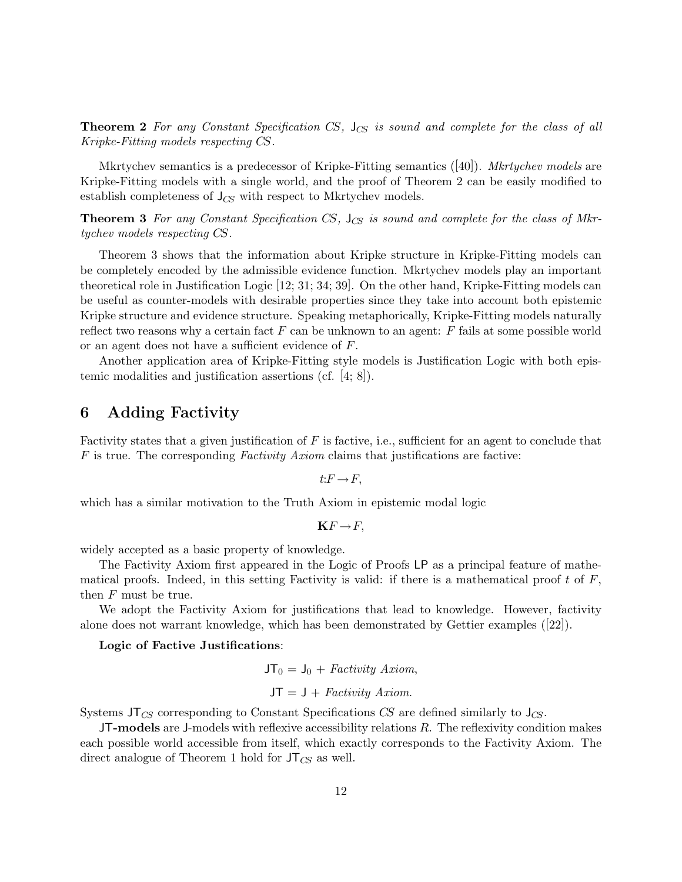Theorem 2 *For any Constant Specification* CS*,* J*CS is sound and complete for the class of all Kripke-Fitting models respecting* CS*.*

Mkrtychev semantics is a predecessor of Kripke-Fitting semantics ([40]). *Mkrtychev models* are Kripke-Fitting models with a single world, and the proof of Theorem 2 can be easily modified to establish completeness of J*CS* with respect to Mkrtychev models.

Theorem 3 *For any Constant Specification* CS*,* J*CS is sound and complete for the class of Mkrtychev models respecting* CS*.*

Theorem 3 shows that the information about Kripke structure in Kripke-Fitting models can be completely encoded by the admissible evidence function. Mkrtychev models play an important theoretical role in Justification Logic [12; 31; 34; 39]. On the other hand, Kripke-Fitting models can be useful as counter-models with desirable properties since they take into account both epistemic Kripke structure and evidence structure. Speaking metaphorically, Kripke-Fitting models naturally reflect two reasons why a certain fact  $F$  can be unknown to an agent:  $F$  fails at some possible world or an agent does not have a sufficient evidence of F.

Another application area of Kripke-Fitting style models is Justification Logic with both epistemic modalities and justification assertions (cf. [4; 8]).

### 6 Adding Factivity

Factivity states that a given justification of  $F$  is factive, i.e., sufficient for an agent to conclude that F is true. The corresponding *Factivity Axiom* claims that justifications are factive:

$$
t\mathpunct: F\to F,
$$

which has a similar motivation to the Truth Axiom in epistemic modal logic

$$
\mathbf{K} F \rightarrow F,
$$

widely accepted as a basic property of knowledge.

The Factivity Axiom first appeared in the Logic of Proofs LP as a principal feature of mathematical proofs. Indeed, in this setting Factivity is valid: if there is a mathematical proof t of  $F$ , then F must be true.

We adopt the Factivity Axiom for justifications that lead to knowledge. However, factivity alone does not warrant knowledge, which has been demonstrated by Gettier examples ([22]).

#### Logic of Factive Justifications:

$$
\mathsf{JT}_0 = \mathsf{J}_0 + \text{Factivity Axiom},
$$

$$
\mathsf{JT} = \mathsf{J} + \text{Factivity Axiom}.
$$

Systems JT*CS* corresponding to Constant Specifications CS are defined similarly to J*CS*.

 $J$ T-models are J-models with reflexive accessibility relations  $R$ . The reflexivity condition makes each possible world accessible from itself, which exactly corresponds to the Factivity Axiom. The direct analogue of Theorem 1 hold for JT*CS* as well.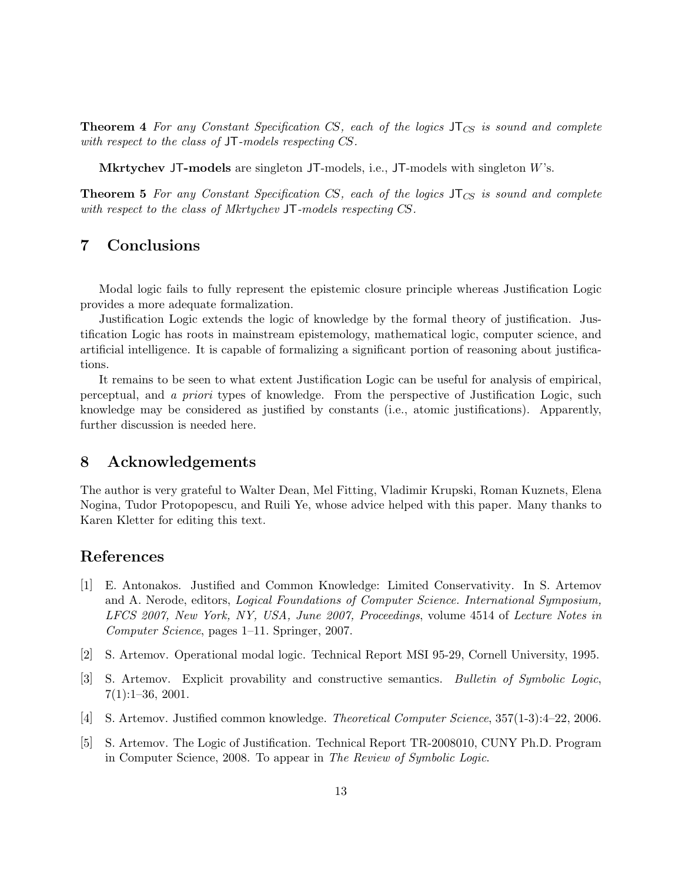Theorem 4 *For any Constant Specification* CS*, each of the logics* JT*CS is sound and complete with respect to the class of* JT*-models respecting* CS*.*

Mkrtychev JT-models are singleton JT-models, i.e., JT-models with singleton W's.

Theorem 5 *For any Constant Specification* CS*, each of the logics* JT*CS is sound and complete with respect to the class of Mkrtychev* JT*-models respecting* CS*.*

### 7 Conclusions

Modal logic fails to fully represent the epistemic closure principle whereas Justification Logic provides a more adequate formalization.

Justification Logic extends the logic of knowledge by the formal theory of justification. Justification Logic has roots in mainstream epistemology, mathematical logic, computer science, and artificial intelligence. It is capable of formalizing a significant portion of reasoning about justifications.

It remains to be seen to what extent Justification Logic can be useful for analysis of empirical, perceptual, and *a priori* types of knowledge. From the perspective of Justification Logic, such knowledge may be considered as justified by constants (i.e., atomic justifications). Apparently, further discussion is needed here.

### 8 Acknowledgements

The author is very grateful to Walter Dean, Mel Fitting, Vladimir Krupski, Roman Kuznets, Elena Nogina, Tudor Protopopescu, and Ruili Ye, whose advice helped with this paper. Many thanks to Karen Kletter for editing this text.

### References

- [1] E. Antonakos. Justified and Common Knowledge: Limited Conservativity. In S. Artemov and A. Nerode, editors, *Logical Foundations of Computer Science. International Symposium, LFCS 2007, New York, NY, USA, June 2007, Proceedings*, volume 4514 of *Lecture Notes in Computer Science*, pages 1–11. Springer, 2007.
- [2] S. Artemov. Operational modal logic. Technical Report MSI 95-29, Cornell University, 1995.
- [3] S. Artemov. Explicit provability and constructive semantics. *Bulletin of Symbolic Logic*,  $7(1):1-36, 2001.$
- [4] S. Artemov. Justified common knowledge. *Theoretical Computer Science*, 357(1-3):4–22, 2006.
- [5] S. Artemov. The Logic of Justification. Technical Report TR-2008010, CUNY Ph.D. Program in Computer Science, 2008. To appear in *The Review of Symbolic Logic*.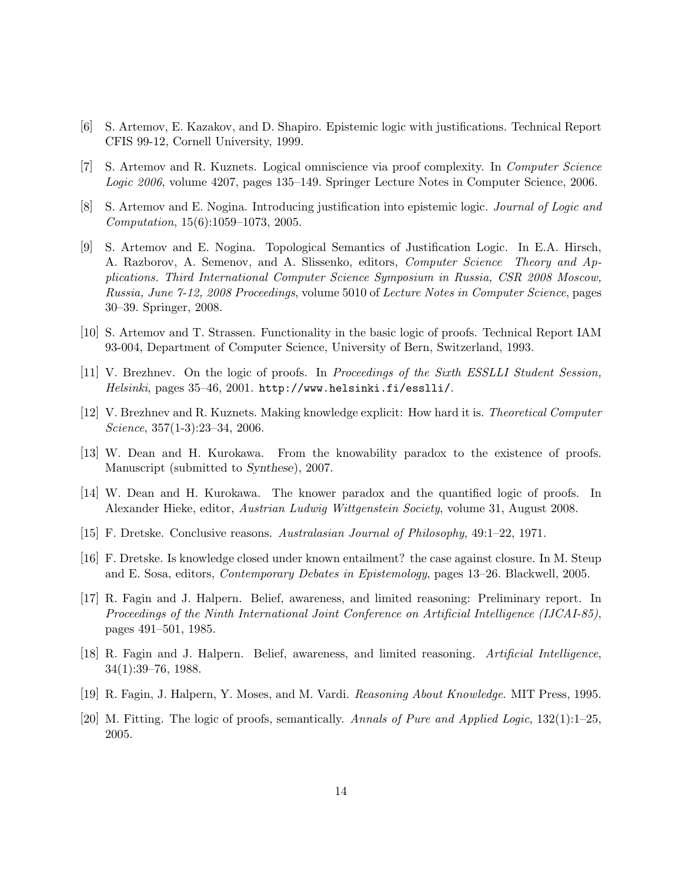- [6] S. Artemov, E. Kazakov, and D. Shapiro. Epistemic logic with justifications. Technical Report CFIS 99-12, Cornell University, 1999.
- [7] S. Artemov and R. Kuznets. Logical omniscience via proof complexity. In *Computer Science Logic 2006*, volume 4207, pages 135–149. Springer Lecture Notes in Computer Science, 2006.
- [8] S. Artemov and E. Nogina. Introducing justification into epistemic logic. *Journal of Logic and Computation*, 15(6):1059–1073, 2005.
- [9] S. Artemov and E. Nogina. Topological Semantics of Justification Logic. In E.A. Hirsch, A. Razborov, A. Semenov, and A. Slissenko, editors, *Computer Science Theory and Applications. Third International Computer Science Symposium in Russia, CSR 2008 Moscow, Russia, June 7-12, 2008 Proceedings*, volume 5010 of *Lecture Notes in Computer Science*, pages 30–39. Springer, 2008.
- [10] S. Artemov and T. Strassen. Functionality in the basic logic of proofs. Technical Report IAM 93-004, Department of Computer Science, University of Bern, Switzerland, 1993.
- [11] V. Brezhnev. On the logic of proofs. In *Proceedings of the Sixth ESSLLI Student Session, Helsinki*, pages 35–46, 2001. http://www.helsinki.fi/esslli/.
- [12] V. Brezhnev and R. Kuznets. Making knowledge explicit: How hard it is. *Theoretical Computer Science*, 357(1-3):23–34, 2006.
- [13] W. Dean and H. Kurokawa. From the knowability paradox to the existence of proofs. Manuscript (submitted to *Synthese*), 2007.
- [14] W. Dean and H. Kurokawa. The knower paradox and the quantified logic of proofs. In Alexander Hieke, editor, *Austrian Ludwig Wittgenstein Society*, volume 31, August 2008.
- [15] F. Dretske. Conclusive reasons. *Australasian Journal of Philosophy*, 49:1–22, 1971.
- [16] F. Dretske. Is knowledge closed under known entailment? the case against closure. In M. Steup and E. Sosa, editors, *Contemporary Debates in Epistemology*, pages 13–26. Blackwell, 2005.
- [17] R. Fagin and J. Halpern. Belief, awareness, and limited reasoning: Preliminary report. In *Proceedings of the Ninth International Joint Conference on Artificial Intelligence (IJCAI-85)*, pages 491–501, 1985.
- [18] R. Fagin and J. Halpern. Belief, awareness, and limited reasoning. *Artificial Intelligence*, 34(1):39–76, 1988.
- [19] R. Fagin, J. Halpern, Y. Moses, and M. Vardi. *Reasoning About Knowledge*. MIT Press, 1995.
- [20] M. Fitting. The logic of proofs, semantically. *Annals of Pure and Applied Logic*, 132(1):1–25, 2005.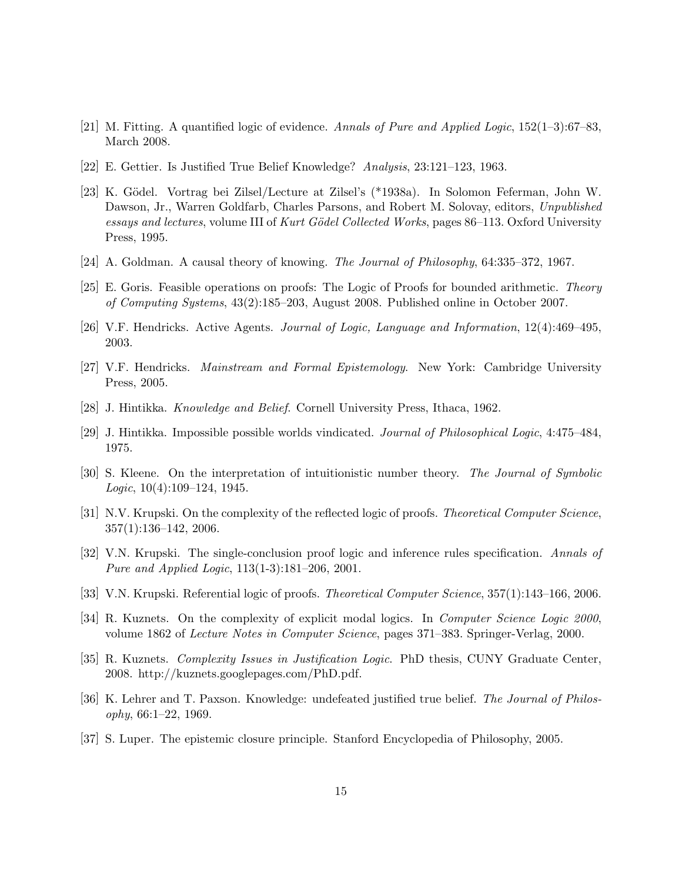- [21] M. Fitting. A quantified logic of evidence. *Annals of Pure and Applied Logic*, 152(1–3):67–83, March 2008.
- [22] E. Gettier. Is Justified True Belief Knowledge? *Analysis*, 23:121–123, 1963.
- [23] K. Gödel. Vortrag bei Zilsel/Lecture at Zilsel's (\*1938a). In Solomon Feferman, John W. Dawson, Jr., Warren Goldfarb, Charles Parsons, and Robert M. Solovay, editors, *Unpublished essays and lectures*, volume III of *Kurt G¨odel Collected Works*, pages 86–113. Oxford University Press, 1995.
- [24] A. Goldman. A causal theory of knowing. *The Journal of Philosophy*, 64:335–372, 1967.
- [25] E. Goris. Feasible operations on proofs: The Logic of Proofs for bounded arithmetic. *Theory of Computing Systems*, 43(2):185–203, August 2008. Published online in October 2007.
- [26] V.F. Hendricks. Active Agents. *Journal of Logic, Language and Information*, 12(4):469–495, 2003.
- [27] V.F. Hendricks. *Mainstream and Formal Epistemology*. New York: Cambridge University Press, 2005.
- [28] J. Hintikka. *Knowledge and Belief*. Cornell University Press, Ithaca, 1962.
- [29] J. Hintikka. Impossible possible worlds vindicated. *Journal of Philosophical Logic*, 4:475–484, 1975.
- [30] S. Kleene. On the interpretation of intuitionistic number theory. *The Journal of Symbolic Logic*, 10(4):109–124, 1945.
- [31] N.V. Krupski. On the complexity of the reflected logic of proofs. *Theoretical Computer Science*, 357(1):136–142, 2006.
- [32] V.N. Krupski. The single-conclusion proof logic and inference rules specification. *Annals of Pure and Applied Logic*, 113(1-3):181–206, 2001.
- [33] V.N. Krupski. Referential logic of proofs. *Theoretical Computer Science*, 357(1):143–166, 2006.
- [34] R. Kuznets. On the complexity of explicit modal logics. In *Computer Science Logic 2000*, volume 1862 of *Lecture Notes in Computer Science*, pages 371–383. Springer-Verlag, 2000.
- [35] R. Kuznets. *Complexity Issues in Justification Logic*. PhD thesis, CUNY Graduate Center, 2008. http://kuznets.googlepages.com/PhD.pdf.
- [36] K. Lehrer and T. Paxson. Knowledge: undefeated justified true belief. *The Journal of Philosophy*, 66:1–22, 1969.
- [37] S. Luper. The epistemic closure principle. Stanford Encyclopedia of Philosophy, 2005.